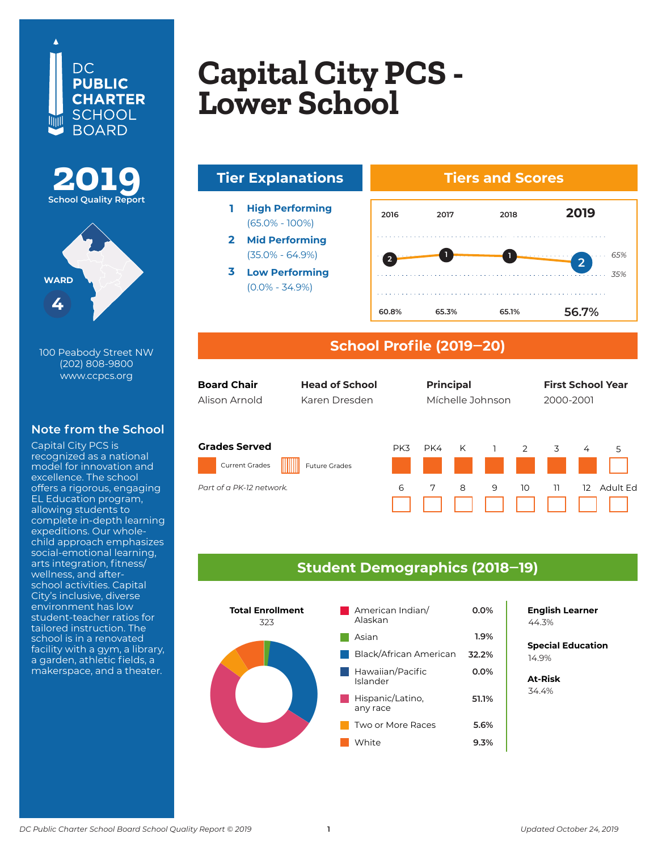## DC. **PUBLIC CHARTER** SCHOOL **BOARD**





100 Peabody Street NW (202) 808-9800 www.ccpcs.org

#### **Note from the School**

Capital City PCS is recognized as a national model for innovation and excellence. The school offers a rigorous, engaging EL Education program, allowing students to complete in-depth learning expeditions. Our wholechild approach emphasizes social-emotional learning, arts integration, fitness/ wellness, and afterschool activities. Capital City's inclusive, diverse environment has low student-teacher ratios for tailored instruction. The school is in a renovated facility with a gym, a library, a garden, athletic fields, a makerspace, and a theater.

### **Copital City DCS Learning PCS – L**ewel Seriou **Capital City PCS - Lower School**





#### **School Profile (2019‒20)**

| <b>Board Chair</b>                                                        | <b>Head of School</b> |          | <b>Principal</b> |        |                     |         | <b>First School Year</b> |                          |  |
|---------------------------------------------------------------------------|-----------------------|----------|------------------|--------|---------------------|---------|--------------------------|--------------------------|--|
| Alison Arnold                                                             | Karen Dresden         |          | Míchelle Johnson |        |                     |         | 2000-2001                |                          |  |
| <b>Grades Served</b><br><b>Current Grades</b><br>Part of a PK-12 network. | <b>Future Grades</b>  | PK3<br>6 | PK4<br>7         | K<br>8 | $\overline{1}$<br>9 | 2<br>10 | 3<br>11                  | 4<br>5<br>Adult Fd<br>12 |  |

#### **Student Demographics (2018‒19)**



**English Learner**

**Special Education** 6.2% 14.9%

**At-Risk** 34.4%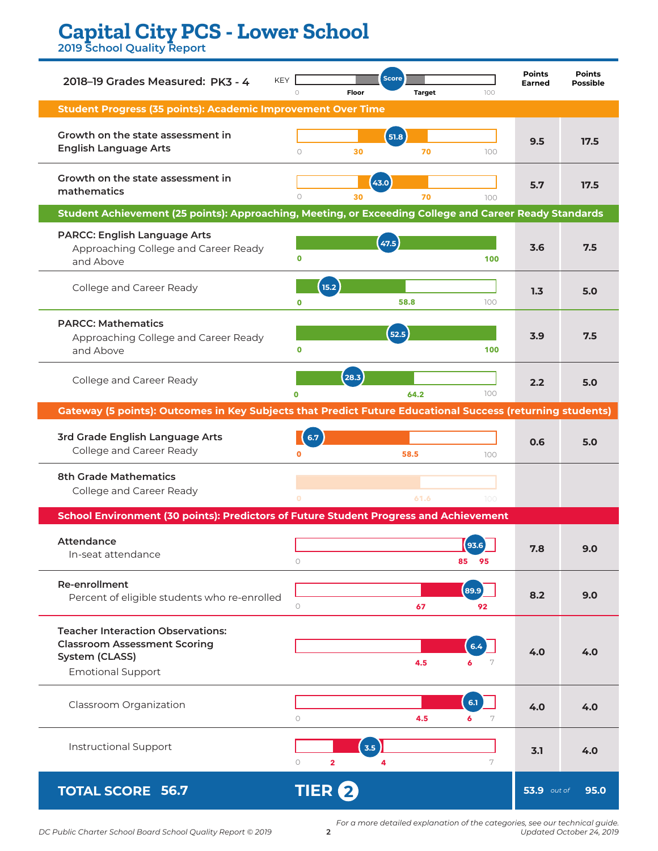# **Capital City PCS - Lower School**

**2019 School Quality Report**

| <b>KEY</b><br>2018-19 Grades Measured: PK3 - 4                                                                                | $\circ$                            | <b>Score</b><br>Floor | <b>Target</b> | 100           | <b>Points</b><br><b>Earned</b> | <b>Points</b><br><b>Possible</b> |
|-------------------------------------------------------------------------------------------------------------------------------|------------------------------------|-----------------------|---------------|---------------|--------------------------------|----------------------------------|
| <b>Student Progress (35 points): Academic Improvement Over Time</b>                                                           |                                    |                       |               |               |                                |                                  |
| Growth on the state assessment in<br><b>English Language Arts</b>                                                             | $\circ$                            | 51.8<br>30            | 70            | 100           | 9.5                            | 17.5                             |
| Growth on the state assessment in<br>mathematics                                                                              | $\circ$                            | 43.0<br>30            | 70            | 100           | 5.7                            | 17.5                             |
| Student Achievement (25 points): Approaching, Meeting, or Exceeding College and Career Ready Standards                        |                                    |                       |               |               |                                |                                  |
| <b>PARCC: English Language Arts</b><br>Approaching College and Career Ready<br>and Above                                      | $\mathbf 0$                        | 47.5                  |               | 100           | 3.6                            | 7.5                              |
| College and Career Ready                                                                                                      | 15.2<br>$\mathbf{0}$               |                       | 58.8          | 100           | 1.3                            | 5.0                              |
| <b>PARCC: Mathematics</b><br>Approaching College and Career Ready<br>and Above                                                | $\mathbf 0$                        | 52.5                  |               | 100           | 3.9                            | 7.5                              |
| College and Career Ready                                                                                                      | $\Omega$                           | (28.3)                | 64.2          | 100           | 2.2                            | 5.0                              |
| Gateway (5 points): Outcomes in Key Subjects that Predict Future Educational Success (returning students)                     |                                    |                       |               |               |                                |                                  |
| 3rd Grade English Language Arts<br>College and Career Ready                                                                   | 6.7<br>O                           |                       | 58.5          | 100           | 0.6                            | 5.0                              |
| <b>8th Grade Mathematics</b><br>College and Career Ready                                                                      |                                    |                       | 61.6          | 100           |                                |                                  |
| School Environment (30 points): Predictors of Future Student Progress and Achievement                                         |                                    |                       |               |               |                                |                                  |
| <b>Attendance</b><br>In-seat attendance                                                                                       | $\bigcirc$                         |                       |               | 85<br>95      | 7.8                            | 9.U                              |
| Re-enrollment<br>Percent of eligible students who re-enrolled                                                                 | $\circ$                            |                       | 67            | 89.9<br>92    | 8.2                            | 9.0                              |
| <b>Teacher Interaction Observations:</b><br><b>Classroom Assessment Scoring</b><br>System (CLASS)<br><b>Emotional Support</b> |                                    |                       | 4.5           | 6.4<br>6<br>7 | 4.0                            | 4.0                              |
| Classroom Organization                                                                                                        | $\circ$                            |                       | 4.5           | 6.1<br>6<br>7 | 4.0                            | 4.0                              |
| <b>Instructional Support</b>                                                                                                  | $\circ$<br>$\overline{\mathbf{2}}$ | 3.5<br>4              |               | 7             | 3.1                            | 4.0                              |
| <b>TOTAL SCORE 56.7</b>                                                                                                       | <b>TIER 2</b>                      |                       |               |               | <b>53.9</b> out of             | 95.0                             |